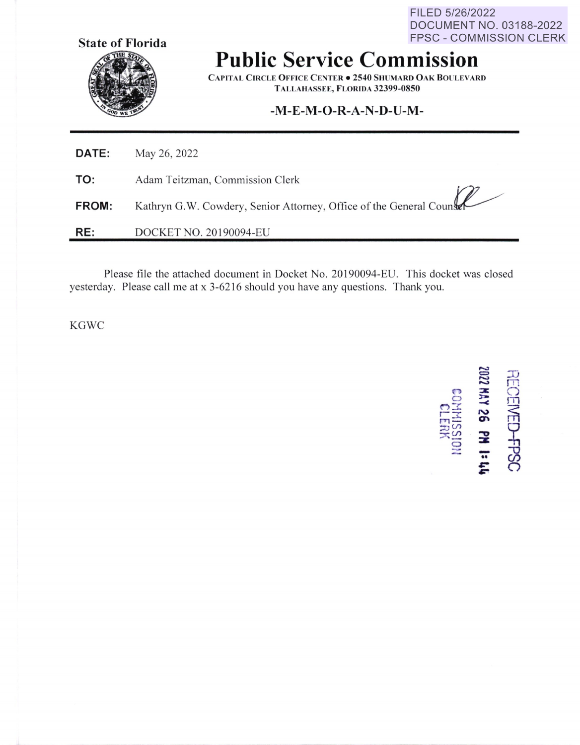FILED 5/26/2022 DOCUMENT NO. 03188-2022 FPSC - COMMISSION CLERK



**Public Service Commission** 

**CAPITAL CIRCLE OFFICE CENTER• 2540 SIIUMARD OAK BOULEVARD TALLAHASSEE, FLORIDA 32399-0850** 

## **-M-E-M-O-R-A-N-D-U-M-**

| <b>DATE:</b> | May 26, 2022                                                         |
|--------------|----------------------------------------------------------------------|
| TO:          | Adam Teitzman, Commission Clerk                                      |
| <b>FROM:</b> | Kathryn G.W. Cowdery, Senior Attorney, Office of the General Counser |
| RE:          | DOCKET NO. 20190094-EU                                               |

Please file the attached document in Docket No. 20190094-EU. This docket was closed yesterday. Please call me at x 3-6216 should you have any questions. Thank you.

**KGWC** 

**c::**<br> **c::**<br> **c:**<br> **c:**<br> **c: 13<br><b>2 ABI**<br>COEN<br>**ABIO**: **NED<br>38 e**<br>58 e<br>Cleus *A**x*<br> **a** *x* **<b>a**<br> **c d x d**<br> **c d x d**<br> **c d x d**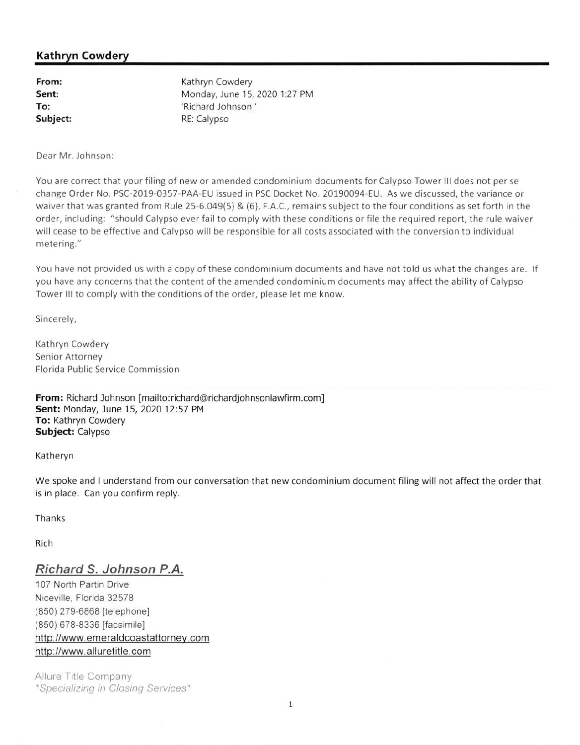## **Kathryn Cowdery**

| From:    | Kathryn Cowdery               |
|----------|-------------------------------|
| Sent:    | Monday, June 15, 2020 1:27 PM |
| To:      | 'Richard Johnson'             |
| Subject: | RE: Calypso                   |

Dear Mr. Johnson:

You are correct that your filing of new or amended condominium documents for Calypso Tower III does not per se change Order No. PSC-2019-0357-PAA-EU issued in PSC Docket No. 20190094-EU. As we discussed, the variance or waiver that was granted from Rule 25-6.049(5) & (6), F.A.C., remains subject to the four conditions as set forth in the order, including: "should Calypso ever fail to comply with these conditions or file the required report, the rule waiver will cease to be effective and Calypso will be responsible for all costs associated with the conversion to individual metering."

You have not provided us with a copy of these condominium documents and have not told us what the changes are. If you have any concerns that the content of the amended condominium documents may affect the ability of Calypso Tower Ill to comply with the conditions of the order, please let me know.

Sincerely,

Kathryn Cowdery Senior Attorney Florida Public Service Commission

**From:** Richard Johnson [mailto:richard@richardjohnsonlawfirm.com] **Sent:** Monday, June 15, 2020 12:57 PM **To:** Kathryn Cowdery **Subject:** calypso

Katheryn

We spoke and I understand from our conversation that new condominium document filing will not affect the order that is in place. Can you confirm reply.

Thanks

Rich

## **Richard S. Johnson P.A.**

107 North Partin Drive Niceville, Florida 32578 (850) 279-6868 [telephone) (850) 678-8336 [facsimile] http://www.emeraldcoastattorney.com http://www.alluretitle.com

Allure Title Company \*Specializing in Closing Services\*